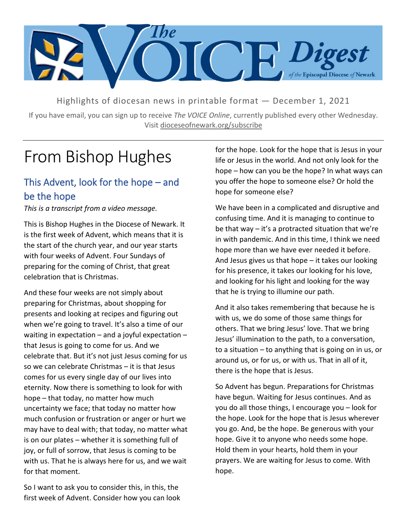

Highlights of diocesan news in printable format — December 1, 2021

If you have email, you can sign up to receive *The VOICE Online*, currently published every other Wednesday. Visit dioceseofnewark.org/subscribe

## From Bishop Hughes

## This Advent, look for the hope – and be the hope

*This is a transcript from a video message.*

This is Bishop Hughes in the Diocese of Newark. It is the first week of Advent, which means that it is the start of the church year, and our year starts with four weeks of Advent. Four Sundays of preparing for the coming of Christ, that great celebration that is Christmas.

And these four weeks are not simply about preparing for Christmas, about shopping for presents and looking at recipes and figuring out when we're going to travel. It's also a time of our waiting in expectation – and a joyful expectation – that Jesus is going to come for us. And we celebrate that. But it's not just Jesus coming for us so we can celebrate Christmas – it is that Jesus comes for us every single day of our lives into eternity. Now there is something to look for with hope – that today, no matter how much uncertainty we face; that today no matter how much confusion or frustration or anger or hurt we may have to deal with; that today, no matter what is on our plates – whether it is something full of joy, or full of sorrow, that Jesus is coming to be with us. That he is always here for us, and we wait for that moment.

So I want to ask you to consider this, in this, the first week of Advent. Consider how you can look for the hope. Look for the hope that is Jesus in your life or Jesus in the world. And not only look for the hope – how can you be the hope? In what ways can you offer the hope to someone else? Or hold the hope for someone else?

We have been in a complicated and disruptive and confusing time. And it is managing to continue to be that way – it's a protracted situation that we're in with pandemic. And in this time, I think we need hope more than we have ever needed it before. And Jesus gives us that hope – it takes our looking for his presence, it takes our looking for his love, and looking for his light and looking for the way that he is trying to illumine our path.

And it also takes remembering that because he is with us, we do some of those same things for others. That we bring Jesus' love. That we bring Jesus' illumination to the path, to a conversation, to a situation – to anything that is going on in us, or around us, or for us, or with us. That in all of it, there is the hope that is Jesus.

So Advent has begun. Preparations for Christmas have begun. Waiting for Jesus continues. And as you do all those things, I encourage you – look for the hope. Look for the hope that is Jesus wherever you go. And, be the hope. Be generous with your hope. Give it to anyone who needs some hope. Hold them in your hearts, hold them in your prayers. We are waiting for Jesus to come. With hope.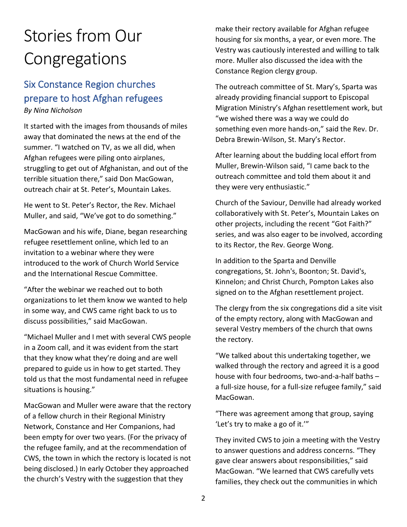## Stories from Our Congregations

## Six Constance Region churches prepare to host Afghan refugees *By Nina Nicholson*

It started with the images from thousands of miles away that dominated the news at the end of the summer. "I watched on TV, as we all did, when Afghan refugees were piling onto airplanes, struggling to get out of Afghanistan, and out of the terrible situation there," said Don MacGowan, outreach chair at St. Peter's, Mountain Lakes.

He went to St. Peter's Rector, the Rev. Michael Muller, and said, "We've got to do something."

MacGowan and his wife, Diane, began researching refugee resettlement online, which led to an invitation to a webinar where they were introduced to the work of Church World Service and the International Rescue Committee.

"After the webinar we reached out to both organizations to let them know we wanted to help in some way, and CWS came right back to us to discuss possibilities," said MacGowan.

"Michael Muller and I met with several CWS people in a Zoom call, and it was evident from the start that they know what they're doing and are well prepared to guide us in how to get started. They told us that the most fundamental need in refugee situations is housing."

MacGowan and Muller were aware that the rectory of a fellow church in their Regional Ministry Network, Constance and Her Companions, had been empty for over two years. (For the privacy of the refugee family, and at the recommendation of CWS, the town in which the rectory is located is not being disclosed.) In early October they approached the church's Vestry with the suggestion that they

make their rectory available for Afghan refugee housing for six months, a year, or even more. The Vestry was cautiously interested and willing to talk more. Muller also discussed the idea with the Constance Region clergy group.

The outreach committee of St. Mary's, Sparta was already providing financial support to Episcopal Migration Ministry's Afghan resettlement work, but "we wished there was a way we could do something even more hands-on," said the Rev. Dr. Debra Brewin-Wilson, St. Mary's Rector.

After learning about the budding local effort from Muller, Brewin-Wilson said, "I came back to the outreach committee and told them about it and they were very enthusiastic."

Church of the Saviour, Denville had already worked collaboratively with St. Peter's, Mountain Lakes on other projects, including the recent "Got Faith?" series, and was also eager to be involved, according to its Rector, the Rev. George Wong.

In addition to the Sparta and Denville congregations, St. John's, Boonton; St. David's, Kinnelon; and Christ Church, Pompton Lakes also signed on to the Afghan resettlement project.

The clergy from the six congregations did a site visit of the empty rectory, along with MacGowan and several Vestry members of the church that owns the rectory.

"We talked about this undertaking together, we walked through the rectory and agreed it is a good house with four bedrooms, two-and-a-half baths – a full-size house, for a full-size refugee family," said MacGowan.

"There was agreement among that group, saying 'Let's try to make a go of it.'"

They invited CWS to join a meeting with the Vestry to answer questions and address concerns. "They gave clear answers about responsibilities," said MacGowan. "We learned that CWS carefully vets families, they check out the communities in which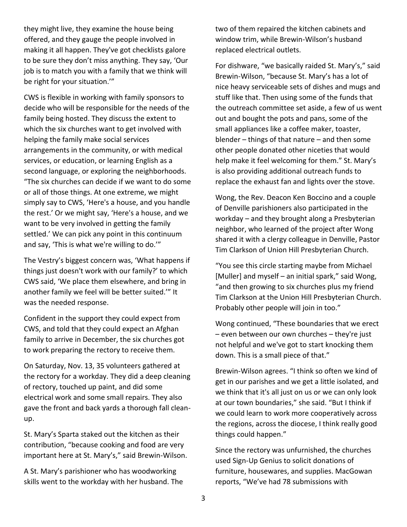they might live, they examine the house being offered, and they gauge the people involved in making it all happen. They've got checklists galore to be sure they don't miss anything. They say, 'Our job is to match you with a family that we think will be right for your situation.'"

CWS is flexible in working with family sponsors to decide who will be responsible for the needs of the family being hosted. They discuss the extent to which the six churches want to get involved with helping the family make social services arrangements in the community, or with medical services, or education, or learning English as a second language, or exploring the neighborhoods. "The six churches can decide if we want to do some or all of those things. At one extreme, we might simply say to CWS, 'Here's a house, and you handle the rest.' Or we might say, 'Here's a house, and we want to be very involved in getting the family settled.' We can pick any point in this continuum and say, 'This is what we're willing to do.'"

The Vestry's biggest concern was, 'What happens if things just doesn't work with our family?' to which CWS said, 'We place them elsewhere, and bring in another family we feel will be better suited.'" It was the needed response.

Confident in the support they could expect from CWS, and told that they could expect an Afghan family to arrive in December, the six churches got to work preparing the rectory to receive them.

On Saturday, Nov. 13, 35 volunteers gathered at the rectory for a workday. They did a deep cleaning of rectory, touched up paint, and did some electrical work and some small repairs. They also gave the front and back yards a thorough fall cleanup.

St. Mary's Sparta staked out the kitchen as their contribution, "because cooking and food are very important here at St. Mary's," said Brewin-Wilson.

A St. Mary's parishioner who has woodworking skills went to the workday with her husband. The two of them repaired the kitchen cabinets and window trim, while Brewin-Wilson's husband replaced electrical outlets.

For dishware, "we basically raided St. Mary's," said Brewin-Wilson, "because St. Mary's has a lot of nice heavy serviceable sets of dishes and mugs and stuff like that. Then using some of the funds that the outreach committee set aside, a few of us went out and bought the pots and pans, some of the small appliances like a coffee maker, toaster, blender – things of that nature – and then some other people donated other niceties that would help make it feel welcoming for them." St. Mary's is also providing additional outreach funds to replace the exhaust fan and lights over the stove.

Wong, the Rev. Deacon Ken Boccino and a couple of Denville parishioners also participated in the workday – and they brought along a Presbyterian neighbor, who learned of the project after Wong shared it with a clergy colleague in Denville, Pastor Tim Clarkson of Union Hill Presbyterian Church.

"You see this circle starting maybe from Michael [Muller] and myself – an initial spark," said Wong, "and then growing to six churches plus my friend Tim Clarkson at the Union Hill Presbyterian Church. Probably other people will join in too."

Wong continued, "These boundaries that we erect – even between our own churches – they're just not helpful and we've got to start knocking them down. This is a small piece of that."

Brewin-Wilson agrees. "I think so often we kind of get in our parishes and we get a little isolated, and we think that it's all just on us or we can only look at our town boundaries," she said. "But I think if we could learn to work more cooperatively across the regions, across the diocese, I think really good things could happen."

Since the rectory was unfurnished, the churches used Sign-Up Genius to solicit donations of furniture, housewares, and supplies. MacGowan reports, "We've had 78 submissions with